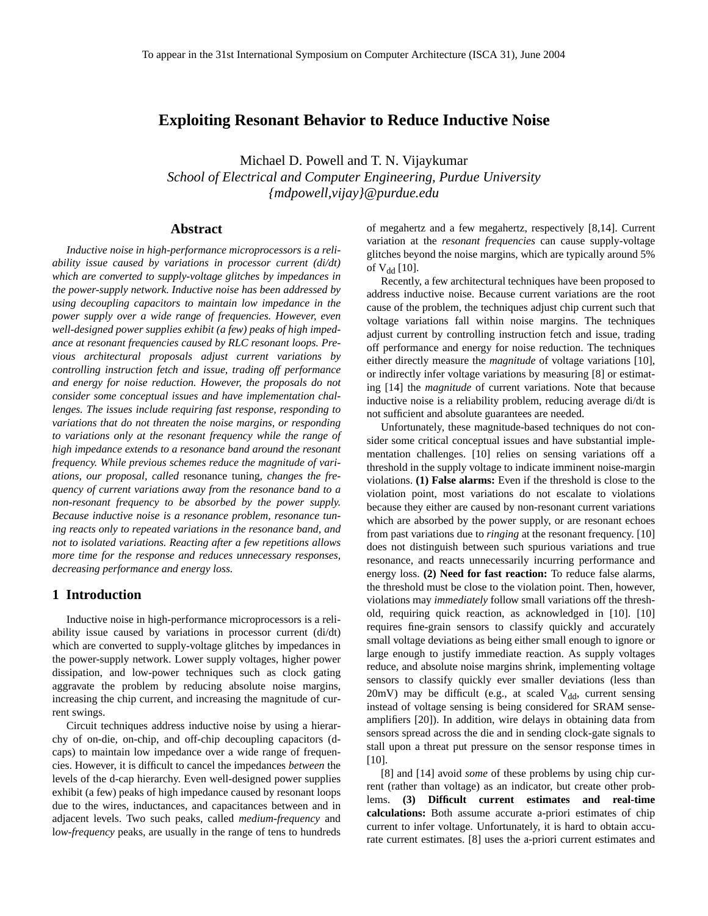# **Exploiting Resonant Behavior to Reduce Inductive Noise**

Michael D. Powell and T. N. Vijaykumar *School of Electrical and Computer Engineering, Purdue University {mdpowell,vijay}@purdue.edu*

# **Abstract**

*Inductive noise in high-performance microprocessors is a reliability issue caused by variations in processor current (di/dt) which are converted to supply-voltage glitches by impedances in the power-supply network. Inductive noise has been addressed by using decoupling capacitors to maintain low impedance in the power supply over a wide range of frequencies. However, even well-designed power supplies exhibit (a few) peaks of high impedance at resonant frequencies caused by RLC resonant loops. Previous architectural proposals adjust current variations by controlling instruction fetch and issue, trading off performance and energy for noise reduction. However, the proposals do not consider some conceptual issues and have implementation challenges. The issues include requiring fast response, responding to variations that do not threaten the noise margins, or responding to variations only at the resonant frequency while the range of high impedance extends to a resonance band around the resonant frequency. While previous schemes reduce the magnitude of variations, our proposal, called* resonance tuning*, changes the frequency of current variations away from the resonance band to a non-resonant frequency to be absorbed by the power supply. Because inductive noise is a resonance problem, resonance tuning reacts only to repeated variations in the resonance band, and not to isolated variations. Reacting after a few repetitions allows more time for the response and reduces unnecessary responses, decreasing performance and energy loss.*

# <span id="page-0-0"></span>**1 Introduction**

Inductive noise in high-performance microprocessors is a reliability issue caused by variations in processor current (di/dt) which are converted to supply-voltage glitches by impedances in the power-supply network. Lower supply voltages, higher power dissipation, and low-power techniques such as clock gating aggravate the problem by reducing absolute noise margins, increasing the chip current, and increasing the magnitude of current swings.

Circuit techniques address inductive noise by using a hierarchy of on-die, on-chip, and off-chip decoupling capacitors (dcaps) to maintain low impedance over a wide range of frequencies. However, it is difficult to cancel the impedances *between* the levels of the d-cap hierarchy. Even well-designed power supplies exhibit (a few) peaks of high impedance caused by resonant loops due to the wires, inductances, and capacitances between and in adjacent levels. Two such peaks, called *medium-frequency* and l*ow-frequency* peaks*,* are usually in the range of tens to hundreds

of megahertz and a few megahertz, respectively [8,14]. Current variation at the *resonant frequencies* can cause supply-voltage glitches beyond the noise margins, which are typically around 5% of  $V_{dd}$  [10].

Recently, a few architectural techniques have been proposed to address inductive noise. Because current variations are the root cause of the problem, the techniques adjust chip current such that voltage variations fall within noise margins. The techniques adjust current by controlling instruction fetch and issue, trading off performance and energy for noise reduction. The techniques either directly measure the *magnitude* of voltage variations [10], or indirectly infer voltage variations by measuring [8] or estimating [14] the *magnitude* of current variations. Note that because inductive noise is a reliability problem, reducing average di/dt is not sufficient and absolute guarantees are needed.

Unfortunately, these magnitude-based techniques do not consider some critical conceptual issues and have substantial implementation challenges. [10] relies on sensing variations off a threshold in the supply voltage to indicate imminent noise-margin violations. **(1) False alarms:** Even if the threshold is close to the violation point, most variations do not escalate to violations because they either are caused by non-resonant current variations which are absorbed by the power supply, or are resonant echoes from past variations due to *ringing* at the resonant frequency. [10] does not distinguish between such spurious variations and true resonance, and reacts unnecessarily incurring performance and energy loss. **(2) Need for fast reaction:** To reduce false alarms, the threshold must be close to the violation point. Then, however, violations may *immediately* follow small variations off the threshold, requiring quick reaction, as acknowledged in [10]. [10] requires fine-grain sensors to classify quickly and accurately small voltage deviations as being either small enough to ignore or large enough to justify immediate reaction. As supply voltages reduce, and absolute noise margins shrink, implementing voltage sensors to classify quickly ever smaller deviations (less than 20mV) may be difficult (e.g., at scaled  $V_{dd}$ , current sensing instead of voltage sensing is being considered for SRAM senseamplifiers [20]). In addition, wire delays in obtaining data from sensors spread across the die and in sending clock-gate signals to stall upon a threat put pressure on the sensor response times in  $[10]$ .

[8] and [14] avoid *some* of these problems by using chip current (rather than voltage) as an indicator, but create other problems. **(3) Difficult current estimates and real-time calculations:** Both assume accurate a-priori estimates of chip current to infer voltage. Unfortunately, it is hard to obtain accurate current estimates. [8] uses the a-priori current estimates and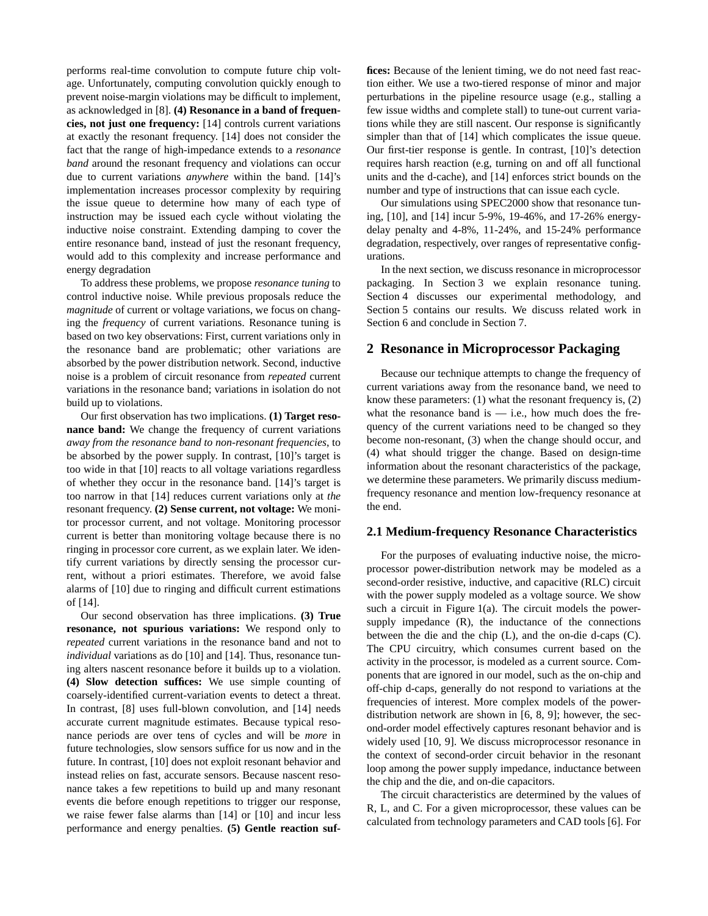performs real-time convolution to compute future chip voltage. Unfortunately, computing convolution quickly enough to prevent noise-margin violations may be difficult to implement, as acknowledged in [8]. **(4) Resonance in a band of frequencies, not just one frequency:** [14] controls current variations at exactly the resonant frequency. [14] does not consider the fact that the range of high-impedance extends to a *resonance band* around the resonant frequency and violations can occur due to current variations *anywhere* within the band. [14]'s implementation increases processor complexity by requiring the issue queue to determine how many of each type of instruction may be issued each cycle without violating the inductive noise constraint. Extending damping to cover the entire resonance band, instead of just the resonant frequency, would add to this complexity and increase performance and energy degradation

To address these problems, we propose *resonance tuning* to control inductive noise. While previous proposals reduce the *magnitude* of current or voltage variations, we focus on changing the *frequency* of current variations. Resonance tuning is based on two key observations: First, current variations only in the resonance band are problematic; other variations are absorbed by the power distribution network. Second, inductive noise is a problem of circuit resonance from *repeated* current variations in the resonance band; variations in isolation do not build up to violations.

Our first observation has two implications. **(1) Target resonance band:** We change the frequency of current variations *away from the resonance band to non-resonant frequencies*, to be absorbed by the power supply. In contrast, [10]'s target is too wide in that [10] reacts to all voltage variations regardless of whether they occur in the resonance band. [14]'s target is too narrow in that [14] reduces current variations only at *the* resonant frequency. **(2) Sense current, not voltage:** We monitor processor current, and not voltage. Monitoring processor current is better than monitoring voltage because there is no ringing in processor core current, as we explain later. We identify current variations by directly sensing the processor current, without a priori estimates. Therefore, we avoid false alarms of [10] due to ringing and difficult current estimations of [14].

Our second observation has three implications. **(3) True resonance, not spurious variations:** We respond only to *repeated* current variations in the resonance band and not to *individual* variations as do [10] and [14]. Thus, resonance tuning alters nascent resonance before it builds up to a violation. **(4) Slow detection suffices:** We use simple counting of coarsely-identified current-variation events to detect a threat. In contrast, [8] uses full-blown convolution, and [14] needs accurate current magnitude estimates. Because typical resonance periods are over tens of cycles and will be *more* in future technologies, slow sensors suffice for us now and in the future. In contrast, [10] does not exploit resonant behavior and instead relies on fast, accurate sensors. Because nascent resonance takes a few repetitions to build up and many resonant events die before enough repetitions to trigger our response, we raise fewer false alarms than [14] or [10] and incur less performance and energy penalties. **(5) Gentle reaction suf-** **fices:** Because of the lenient timing, we do not need fast reaction either. We use a two-tiered response of minor and major perturbations in the pipeline resource usage (e.g., stalling a few issue widths and complete stall) to tune-out current variations while they are still nascent. Our response is significantly simpler than that of [14] which complicates the issue queue. Our first-tier response is gentle. In contrast, [10]'s detection requires harsh reaction (e.g, turning on and off all functional units and the d-cache), and [14] enforces strict bounds on the number and type of instructions that can issue each cycle.

Our simulations using SPEC2000 show that resonance tuning, [10], and [14] incur 5-9%, 19-46%, and 17-26% energydelay penalty and 4-8%, 11-24%, and 15-24% performance degradation, respectively, over ranges of representative configurations.

In the next section, we discuss resonance in microprocessor packaging. In [Section 3](#page-4-0) we explain resonance tuning. [Section 4](#page-6-0) discusses our experimental methodology, and [Section 5](#page-7-0) contains our results. We discuss related work in [Section 6](#page-10-0) and conclude in [Section 7](#page-11-0).

# <span id="page-1-0"></span>**2 Resonance in Microprocessor Packaging**

Because our technique attempts to change the frequency of current variations away from the resonance band, we need to know these parameters: (1) what the resonant frequency is, (2) what the resonance band is  $-$  i.e., how much does the frequency of the current variations need to be changed so they become non-resonant, (3) when the change should occur, and (4) what should trigger the change. Based on design-time information about the resonant characteristics of the package, we determine these parameters. We primarily discuss mediumfrequency resonance and mention low-frequency resonance at the end.

### <span id="page-1-1"></span>**2.1 Medium-frequency Resonance Characteristics**

For the purposes of evaluating inductive noise, the microprocessor power-distribution network may be modeled as a second-order resistive, inductive, and capacitive (RLC) circuit with the power supply modeled as a voltage source. We show such a circuit in [Figure 1\(](#page-2-0)a). The circuit models the powersupply impedance (R), the inductance of the connections between the die and the chip (L), and the on-die d-caps (C). The CPU circuitry, which consumes current based on the activity in the processor, is modeled as a current source. Components that are ignored in our model, such as the on-chip and off-chip d-caps, generally do not respond to variations at the frequencies of interest. More complex models of the powerdistribution network are shown in [6, 8, 9]; however, the second-order model effectively captures resonant behavior and is widely used [10, 9]. We discuss microprocessor resonance in the context of second-order circuit behavior in the resonant loop among the power supply impedance, inductance between the chip and the die, and on-die capacitors.

The circuit characteristics are determined by the values of R, L, and C. For a given microprocessor, these values can be calculated from technology parameters and CAD tools [6]. For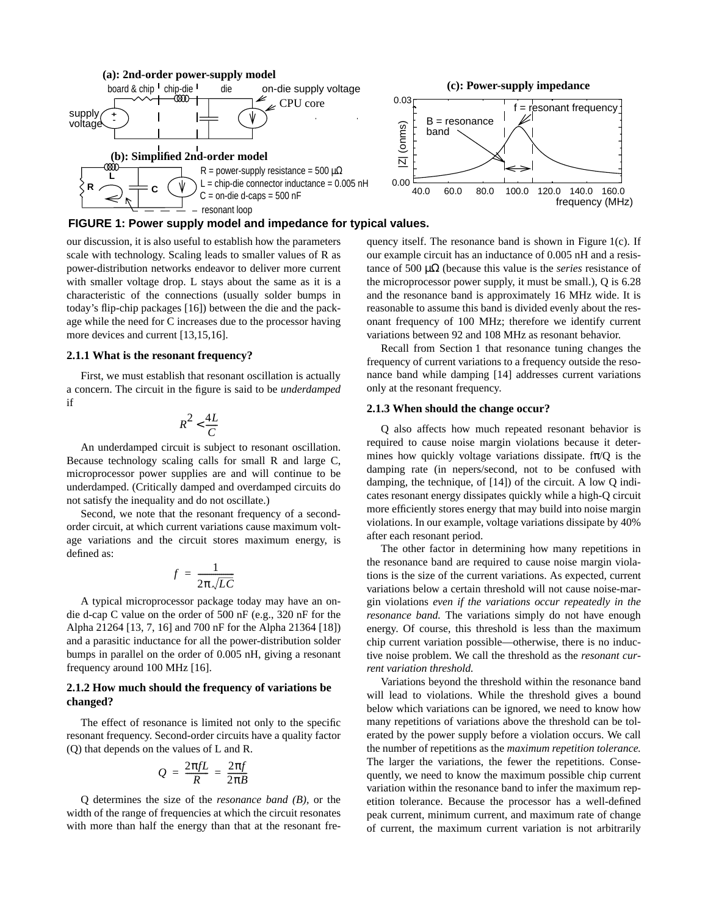

<span id="page-2-0"></span>

our discussion, it is also useful to establish how the parameters scale with technology. Scaling leads to smaller values of R as power-distribution networks endeavor to deliver more current with smaller voltage drop. L stays about the same as it is a characteristic of the connections (usually solder bumps in today's flip-chip packages [16]) between the die and the package while the need for C increases due to the processor having more devices and current [13,15,16].

#### <span id="page-2-3"></span>**2.1.1 What is the resonant frequency?**

First, we must establish that resonant oscillation is actually a concern. The circuit in the figure is said to be *underdamped* if

$$
R^2 < \frac{4L}{C}
$$

An underdamped circuit is subject to resonant oscillation. Because technology scaling calls for small R and large C, microprocessor power supplies are and will continue to be underdamped. (Critically damped and overdamped circuits do not satisfy the inequality and do not oscillate.)

Second, we note that the resonant frequency of a secondorder circuit, at which current variations cause maximum voltage variations and the circuit stores maximum energy, is defined as:

$$
f = \frac{1}{2\pi\sqrt{LC}}
$$

A typical microprocessor package today may have an ondie d-cap C value on the order of 500 nF (e.g., 320 nF for the Alpha 21264 [13, 7, 16] and 700 nF for the Alpha 21364 [18]) and a parasitic inductance for all the power-distribution solder bumps in parallel on the order of 0.005 nH, giving a resonant frequency around 100 MHz [16].

# <span id="page-2-1"></span>**2.1.2 How much should the frequency of variations be changed?**

The effect of resonance is limited not only to the specific resonant frequency. Second-order circuits have a quality factor (Q) that depends on the values of L and R.

$$
Q = \frac{2\pi fL}{R} = \frac{2\pi f}{2\pi B}
$$

Q determines the size of the *resonance band (B),* or the width of the range of frequencies at which the circuit resonates with more than half the energy than that at the resonant fre-



quency itself. The resonance band is shown in [Figure 1](#page-2-0)(c). If our example circuit has an inductance of 0.005 nH and a resistance of 500 µΩ (because this value is the *series* resistance of the microprocessor power supply, it must be small.), Q is 6.28 and the resonance band is approximately 16 MHz wide. It is reasonable to assume this band is divided evenly about the resonant frequency of 100 MHz; therefore we identify current variations between 92 and 108 MHz as resonant behavior.

Recall from [Section 1](#page-0-0) that resonance tuning changes the frequency of current variations to a frequency outside the resonance band while damping [14] addresses current variations only at the resonant frequency.

#### <span id="page-2-2"></span>**2.1.3 When should the change occur?**

Q also affects how much repeated resonant behavior is required to cause noise margin violations because it determines how quickly voltage variations dissipate.  $f\pi/Q$  is the damping rate (in nepers/second, not to be confused with damping, the technique, of [14]) of the circuit. A low Q indicates resonant energy dissipates quickly while a high-Q circuit more efficiently stores energy that may build into noise margin violations. In our example, voltage variations dissipate by 40% after each resonant period.

The other factor in determining how many repetitions in the resonance band are required to cause noise margin violations is the size of the current variations. As expected, current variations below a certain threshold will not cause noise-margin violations *even if the variations occur repeatedly in the resonance band.* The variations simply do not have enough energy. Of course, this threshold is less than the maximum chip current variation possible—otherwise, there is no inductive noise problem. We call the threshold as the *resonant current variation threshold.*

Variations beyond the threshold within the resonance band will lead to violations. While the threshold gives a bound below which variations can be ignored, we need to know how many repetitions of variations above the threshold can be tolerated by the power supply before a violation occurs. We call the number of repetitions as the *maximum repetition tolerance.* The larger the variations, the fewer the repetitions. Consequently, we need to know the maximum possible chip current variation within the resonance band to infer the maximum repetition tolerance. Because the processor has a well-defined peak current, minimum current, and maximum rate of change of current, the maximum current variation is not arbitrarily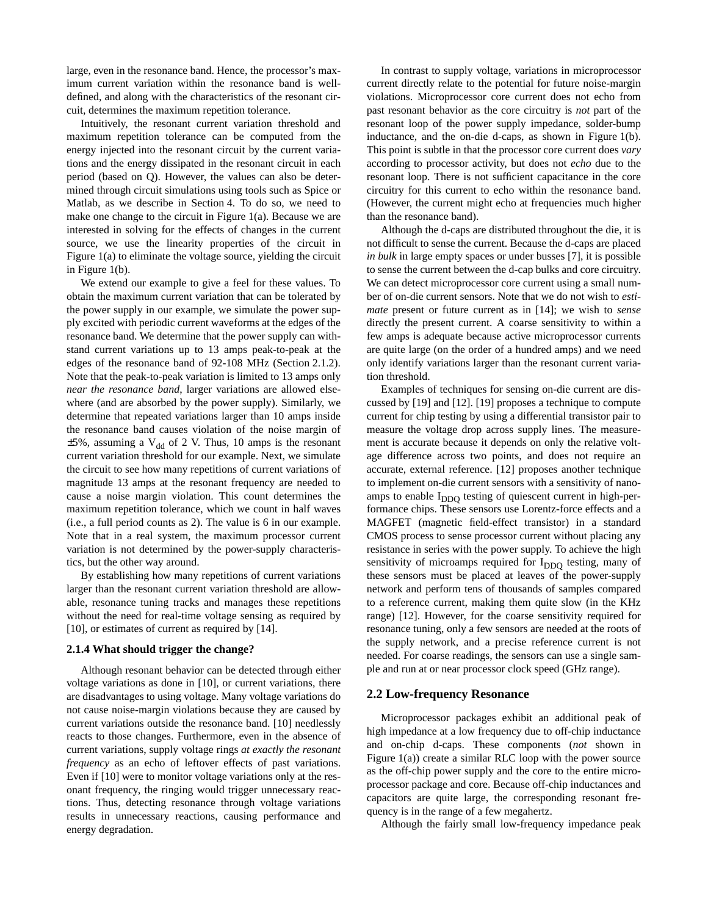large, even in the resonance band. Hence, the processor's maximum current variation within the resonance band is welldefined, and along with the characteristics of the resonant circuit, determines the maximum repetition tolerance.

Intuitively, the resonant current variation threshold and maximum repetition tolerance can be computed from the energy injected into the resonant circuit by the current variations and the energy dissipated in the resonant circuit in each period (based on Q). However, the values can also be determined through circuit simulations using tools such as Spice or Matlab, as we describe in [Section 4](#page-6-0). To do so, we need to make one change to the circuit in [Figure 1\(](#page-2-0)a). Because we are interested in solving for the effects of changes in the current source, we use the linearity properties of the circuit in [Figure 1\(](#page-2-0)a) to eliminate the voltage source, yielding the circuit in [Figure 1](#page-2-0)(b).

We extend our example to give a feel for these values. To obtain the maximum current variation that can be tolerated by the power supply in our example, we simulate the power supply excited with periodic current waveforms at the edges of the resonance band. We determine that the power supply can withstand current variations up to 13 amps peak-to-peak at the edges of the resonance band of 92-108 MHz [\(Section 2.1.2](#page-2-1)). Note that the peak-to-peak variation is limited to 13 amps only *near the resonance band*, larger variations are allowed elsewhere (and are absorbed by the power supply). Similarly, we determine that repeated variations larger than 10 amps inside the resonance band causes violation of the noise margin of  $\pm 5\%$ , assuming a V<sub>dd</sub> of 2 V. Thus, 10 amps is the resonant current variation threshold for our example. Next, we simulate the circuit to see how many repetitions of current variations of magnitude 13 amps at the resonant frequency are needed to cause a noise margin violation. This count determines the maximum repetition tolerance, which we count in half waves (i.e., a full period counts as 2). The value is 6 in our example. Note that in a real system, the maximum processor current variation is not determined by the power-supply characteristics, but the other way around.

By establishing how many repetitions of current variations larger than the resonant current variation threshold are allowable, resonance tuning tracks and manages these repetitions without the need for real-time voltage sensing as required by [10], or estimates of current as required by [14].

#### <span id="page-3-0"></span>**2.1.4 What should trigger the change?**

Although resonant behavior can be detected through either voltage variations as done in [10], or current variations, there are disadvantages to using voltage. Many voltage variations do not cause noise-margin violations because they are caused by current variations outside the resonance band. [10] needlessly reacts to those changes. Furthermore, even in the absence of current variations, supply voltage rings *at exactly the resonant frequency* as an echo of leftover effects of past variations. Even if [10] were to monitor voltage variations only at the resonant frequency, the ringing would trigger unnecessary reactions. Thus, detecting resonance through voltage variations results in unnecessary reactions, causing performance and energy degradation.

In contrast to supply voltage, variations in microprocessor current directly relate to the potential for future noise-margin violations. Microprocessor core current does not echo from past resonant behavior as the core circuitry is *not* part of the resonant loop of the power supply impedance, solder-bump inductance, and the on-die d-caps, as shown in [Figure 1\(](#page-2-0)b). This point is subtle in that the processor core current does *vary* according to processor activity, but does not *echo* due to the resonant loop. There is not sufficient capacitance in the core circuitry for this current to echo within the resonance band. (However, the current might echo at frequencies much higher than the resonance band).

Although the d-caps are distributed throughout the die, it is not difficult to sense the current. Because the d-caps are placed *in bulk* in large empty spaces or under busses [7], it is possible to sense the current between the d-cap bulks and core circuitry. We can detect microprocessor core current using a small number of on-die current sensors. Note that we do not wish to *estimate* present or future current as in [14]; we wish to *sense* directly the present current. A coarse sensitivity to within a few amps is adequate because active microprocessor currents are quite large (on the order of a hundred amps) and we need only identify variations larger than the resonant current variation threshold.

Examples of techniques for sensing on-die current are discussed by [19] and [12]. [19] proposes a technique to compute current for chip testing by using a differential transistor pair to measure the voltage drop across supply lines. The measurement is accurate because it depends on only the relative voltage difference across two points, and does not require an accurate, external reference. [12] proposes another technique to implement on-die current sensors with a sensitivity of nanoamps to enable I<sub>DDO</sub> testing of quiescent current in high-performance chips. These sensors use Lorentz-force effects and a MAGFET (magnetic field-effect transistor) in a standard CMOS process to sense processor current without placing any resistance in series with the power supply. To achieve the high sensitivity of microamps required for I<sub>DDO</sub> testing, many of these sensors must be placed at leaves of the power-supply network and perform tens of thousands of samples compared to a reference current, making them quite slow (in the KHz range) [12]. However, for the coarse sensitivity required for resonance tuning, only a few sensors are needed at the roots of the supply network, and a precise reference current is not needed. For coarse readings, the sensors can use a single sample and run at or near processor clock speed (GHz range).

# **2.2 Low-frequency Resonance**

Microprocessor packages exhibit an additional peak of high impedance at a low frequency due to off-chip inductance and on-chip d-caps. These components (*not* shown in [Figure 1](#page-2-0)(a)) create a similar RLC loop with the power source as the off-chip power supply and the core to the entire microprocessor package and core. Because off-chip inductances and capacitors are quite large, the corresponding resonant frequency is in the range of a few megahertz.

Although the fairly small low-frequency impedance peak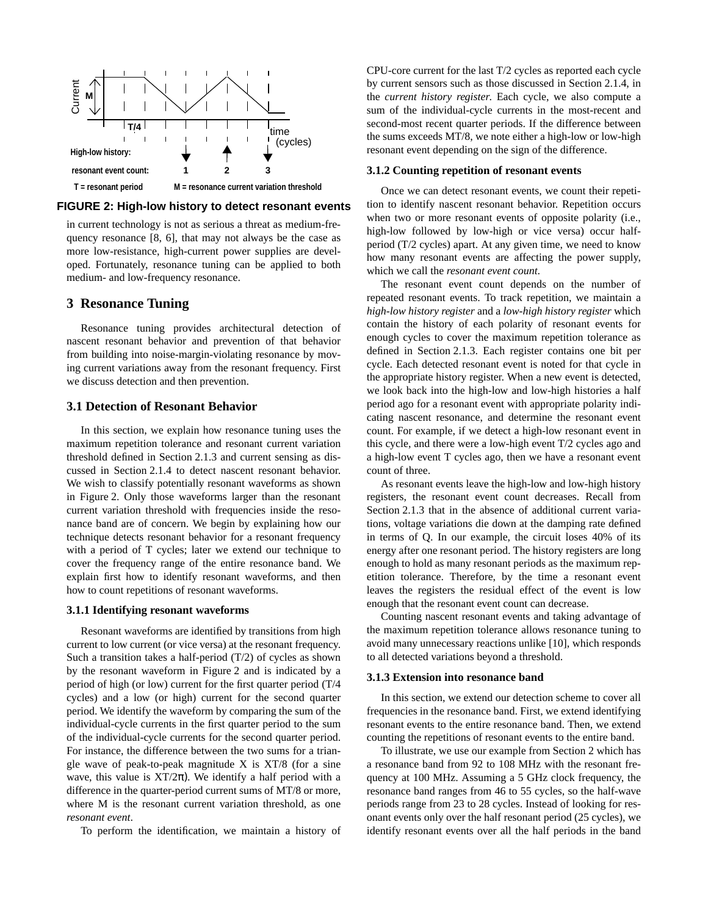

<span id="page-4-1"></span>

in current technology is not as serious a threat as medium-frequency resonance [8, 6], that may not always be the case as more low-resistance, high-current power supplies are developed. Fortunately, resonance tuning can be applied to both medium- and low-frequency resonance.

# <span id="page-4-0"></span>**3 Resonance Tuning**

Resonance tuning provides architectural detection of nascent resonant behavior and prevention of that behavior from building into noise-margin-violating resonance by moving current variations away from the resonant frequency. First we discuss detection and then prevention.

# <span id="page-4-3"></span>**3.1 Detection of Resonant Behavior**

In this section, we explain how resonance tuning uses the maximum repetition tolerance and resonant current variation threshold defined in [Section 2.1.3](#page-2-2) and current sensing as discussed in [Section 2.1.4](#page-3-0) to detect nascent resonant behavior. We wish to classify potentially resonant waveforms as shown in [Figure 2.](#page-4-1) Only those waveforms larger than the resonant current variation threshold with frequencies inside the resonance band are of concern. We begin by explaining how our technique detects resonant behavior for a resonant frequency with a period of T cycles; later we extend our technique to cover the frequency range of the entire resonance band. We explain first how to identify resonant waveforms, and then how to count repetitions of resonant waveforms.

## **3.1.1 Identifying resonant waveforms**

Resonant waveforms are identified by transitions from high current to low current (or vice versa) at the resonant frequency. Such a transition takes a half-period (T/2) of cycles as shown by the resonant waveform in [Figure 2](#page-4-1) and is indicated by a period of high (or low) current for the first quarter period (T/4 cycles) and a low (or high) current for the second quarter period. We identify the waveform by comparing the sum of the individual-cycle currents in the first quarter period to the sum of the individual-cycle currents for the second quarter period. For instance, the difference between the two sums for a triangle wave of peak-to-peak magnitude X is XT/8 (for a sine wave, this value is  $XT/2\pi$ ). We identify a half period with a difference in the quarter-period current sums of MT/8 or more, where M is the resonant current variation threshold, as one *resonant event*.

To perform the identification, we maintain a history of

CPU-core current for the last T/2 cycles as reported each cycle by current sensors such as those discussed in [Section 2.1.4,](#page-3-0) in the *current history register*. Each cycle, we also compute a sum of the individual-cycle currents in the most-recent and second-most recent quarter periods. If the difference between the sums exceeds MT/8, we note either a high-low or low-high resonant event depending on the sign of the difference.

#### <span id="page-4-2"></span>**3.1.2 Counting repetition of resonant events**

Once we can detect resonant events, we count their repetition to identify nascent resonant behavior. Repetition occurs when two or more resonant events of opposite polarity (i.e., high-low followed by low-high or vice versa) occur halfperiod (T/2 cycles) apart. At any given time, we need to know how many resonant events are affecting the power supply, which we call the *resonant event count*.

The resonant event count depends on the number of repeated resonant events. To track repetition, we maintain a *high-low history register* and a *low-high history register* which contain the history of each polarity of resonant events for enough cycles to cover the maximum repetition tolerance as defined in [Section 2.1.3](#page-2-2). Each register contains one bit per cycle. Each detected resonant event is noted for that cycle in the appropriate history register. When a new event is detected, we look back into the high-low and low-high histories a half period ago for a resonant event with appropriate polarity indicating nascent resonance, and determine the resonant event count. For example, if we detect a high-low resonant event in this cycle, and there were a low-high event T/2 cycles ago and a high-low event T cycles ago, then we have a resonant event count of three.

As resonant events leave the high-low and low-high history registers, the resonant event count decreases. Recall from [Section 2.1.3](#page-2-2) that in the absence of additional current variations, voltage variations die down at the damping rate defined in terms of Q. In our example, the circuit loses 40% of its energy after one resonant period. The history registers are long enough to hold as many resonant periods as the maximum repetition tolerance. Therefore, by the time a resonant event leaves the registers the residual effect of the event is low enough that the resonant event count can decrease.

Counting nascent resonant events and taking advantage of the maximum repetition tolerance allows resonance tuning to avoid many unnecessary reactions unlike [10], which responds to all detected variations beyond a threshold.

#### **3.1.3 Extension into resonance band**

In this section, we extend our detection scheme to cover all frequencies in the resonance band. First, we extend identifying resonant events to the entire resonance band. Then, we extend counting the repetitions of resonant events to the entire band.

To illustrate, we use our example from [Section 2](#page-1-0) which has a resonance band from 92 to 108 MHz with the resonant frequency at 100 MHz. Assuming a 5 GHz clock frequency, the resonance band ranges from 46 to 55 cycles, so the half-wave periods range from 23 to 28 cycles. Instead of looking for resonant events only over the half resonant period (25 cycles), we identify resonant events over all the half periods in the band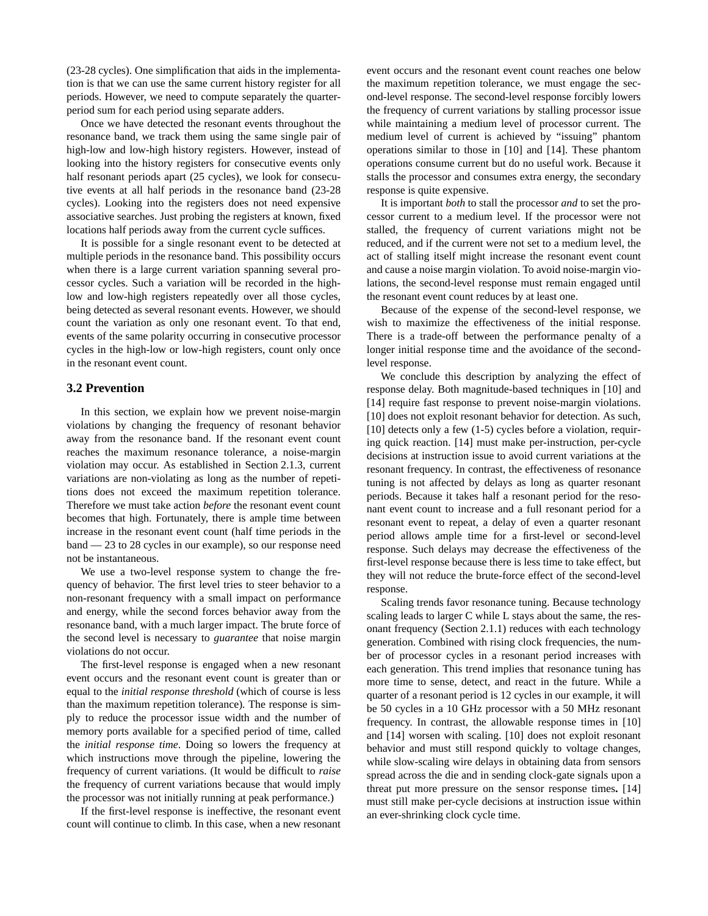(23-28 cycles). One simplification that aids in the implementation is that we can use the same current history register for all periods. However, we need to compute separately the quarterperiod sum for each period using separate adders.

Once we have detected the resonant events throughout the resonance band, we track them using the same single pair of high-low and low-high history registers. However, instead of looking into the history registers for consecutive events only half resonant periods apart (25 cycles), we look for consecutive events at all half periods in the resonance band (23-28 cycles). Looking into the registers does not need expensive associative searches. Just probing the registers at known, fixed locations half periods away from the current cycle suffices.

It is possible for a single resonant event to be detected at multiple periods in the resonance band. This possibility occurs when there is a large current variation spanning several processor cycles. Such a variation will be recorded in the highlow and low-high registers repeatedly over all those cycles, being detected as several resonant events. However, we should count the variation as only one resonant event. To that end, events of the same polarity occurring in consecutive processor cycles in the high-low or low-high registers, count only once in the resonant event count.

# <span id="page-5-0"></span>**3.2 Prevention**

In this section, we explain how we prevent noise-margin violations by changing the frequency of resonant behavior away from the resonance band. If the resonant event count reaches the maximum resonance tolerance, a noise-margin violation may occur. As established in [Section 2.1.3,](#page-2-2) current variations are non-violating as long as the number of repetitions does not exceed the maximum repetition tolerance. Therefore we must take action *before* the resonant event count becomes that high. Fortunately, there is ample time between increase in the resonant event count (half time periods in the band — 23 to 28 cycles in our example), so our response need not be instantaneous.

We use a two-level response system to change the frequency of behavior. The first level tries to steer behavior to a non-resonant frequency with a small impact on performance and energy, while the second forces behavior away from the resonance band, with a much larger impact. The brute force of the second level is necessary to *guarantee* that noise margin violations do not occur.

The first-level response is engaged when a new resonant event occurs and the resonant event count is greater than or equal to the *initial response threshold* (which of course is less than the maximum repetition tolerance)*.* The response is simply to reduce the processor issue width and the number of memory ports available for a specified period of time, called the *initial response time*. Doing so lowers the frequency at which instructions move through the pipeline, lowering the frequency of current variations. (It would be difficult to *raise* the frequency of current variations because that would imply the processor was not initially running at peak performance.)

If the first-level response is ineffective, the resonant event count will continue to climb. In this case, when a new resonant

event occurs and the resonant event count reaches one below the maximum repetition tolerance, we must engage the second-level response. The second-level response forcibly lowers the frequency of current variations by stalling processor issue while maintaining a medium level of processor current. The medium level of current is achieved by "issuing" phantom operations similar to those in [10] and [14]. These phantom operations consume current but do no useful work. Because it stalls the processor and consumes extra energy, the secondary response is quite expensive.

It is important *both* to stall the processor *and* to set the processor current to a medium level. If the processor were not stalled, the frequency of current variations might not be reduced, and if the current were not set to a medium level, the act of stalling itself might increase the resonant event count and cause a noise margin violation. To avoid noise-margin violations, the second-level response must remain engaged until the resonant event count reduces by at least one.

Because of the expense of the second-level response, we wish to maximize the effectiveness of the initial response. There is a trade-off between the performance penalty of a longer initial response time and the avoidance of the secondlevel response.

We conclude this description by analyzing the effect of response delay. Both magnitude-based techniques in [10] and [14] require fast response to prevent noise-margin violations. [10] does not exploit resonant behavior for detection. As such, [10] detects only a few (1-5) cycles before a violation, requiring quick reaction. [14] must make per-instruction, per-cycle decisions at instruction issue to avoid current variations at the resonant frequency. In contrast, the effectiveness of resonance tuning is not affected by delays as long as quarter resonant periods. Because it takes half a resonant period for the resonant event count to increase and a full resonant period for a resonant event to repeat, a delay of even a quarter resonant period allows ample time for a first-level or second-level response. Such delays may decrease the effectiveness of the first-level response because there is less time to take effect, but they will not reduce the brute-force effect of the second-level response.

Scaling trends favor resonance tuning. Because technology scaling leads to larger C while L stays about the same, the resonant frequency ([Section 2.1.1\)](#page-2-3) reduces with each technology generation. Combined with rising clock frequencies, the number of processor cycles in a resonant period increases with each generation. This trend implies that resonance tuning has more time to sense, detect, and react in the future. While a quarter of a resonant period is 12 cycles in our example, it will be 50 cycles in a 10 GHz processor with a 50 MHz resonant frequency. In contrast, the allowable response times in [10] and [14] worsen with scaling. [10] does not exploit resonant behavior and must still respond quickly to voltage changes, while slow-scaling wire delays in obtaining data from sensors spread across the die and in sending clock-gate signals upon a threat put more pressure on the sensor response times**.** [14] must still make per-cycle decisions at instruction issue within an ever-shrinking clock cycle time.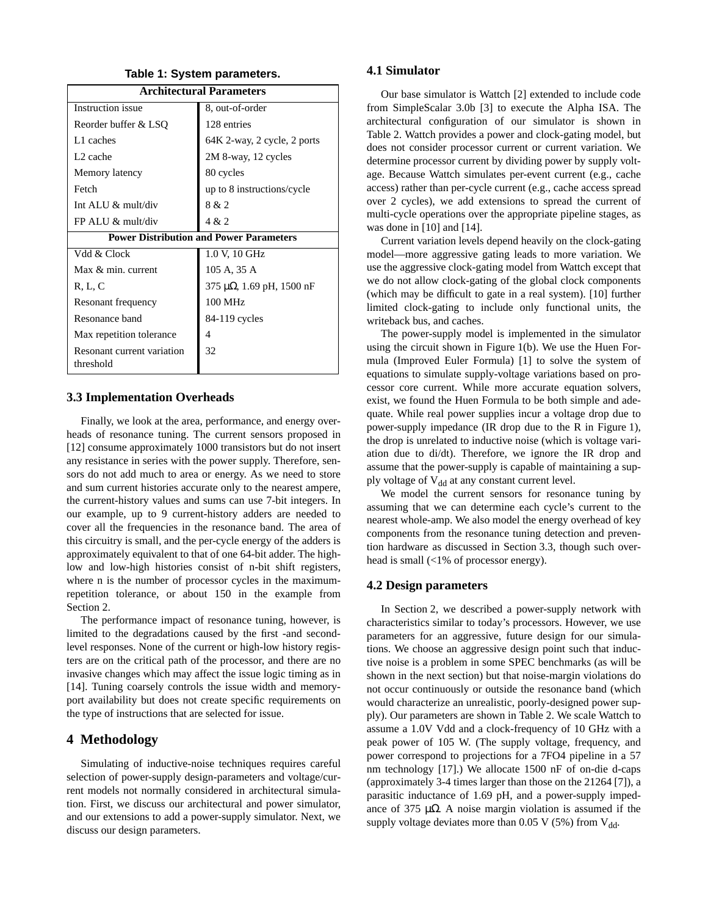<span id="page-6-2"></span>

| <b>Architectural Parameters</b>                |                                    |  |  |  |  |  |
|------------------------------------------------|------------------------------------|--|--|--|--|--|
| <b>Instruction</b> issue                       | 8. out-of-order                    |  |  |  |  |  |
| Reorder buffer & LSQ                           | 128 entries                        |  |  |  |  |  |
| L1 caches                                      | 64K 2-way, 2 cycle, 2 ports        |  |  |  |  |  |
| L <sub>2</sub> cache                           | 2M 8-way, 12 cycles                |  |  |  |  |  |
| Memory latency                                 | 80 cycles                          |  |  |  |  |  |
| Fetch                                          | up to 8 instructions/cycle         |  |  |  |  |  |
| Int ALU & mult/div                             | 8 & 2                              |  |  |  |  |  |
| $FP$ ALU $\&$ mult/div                         | 4 & 2                              |  |  |  |  |  |
| <b>Power Distribution and Power Parameters</b> |                                    |  |  |  |  |  |
| Vdd & Clock                                    | 1.0 V, 10 GHz                      |  |  |  |  |  |
| Max & min. current                             | 105 A, 35 A                        |  |  |  |  |  |
| R, L, C                                        | $375 \mu\Omega$ , 1.69 pH, 1500 nF |  |  |  |  |  |
| Resonant frequency                             | 100 MHz                            |  |  |  |  |  |
| Resonance band                                 | 84-119 cycles                      |  |  |  |  |  |
| Max repetition tolerance                       | 4                                  |  |  |  |  |  |
| Resonant current variation<br>threshold        | 32                                 |  |  |  |  |  |

## **Table 1: System parameters.**

# <span id="page-6-1"></span>**3.3 Implementation Overheads**

Finally, we look at the area, performance, and energy overheads of resonance tuning. The current sensors proposed in [12] consume approximately 1000 transistors but do not insert any resistance in series with the power supply. Therefore, sensors do not add much to area or energy. As we need to store and sum current histories accurate only to the nearest ampere, the current-history values and sums can use 7-bit integers. In our example, up to 9 current-history adders are needed to cover all the frequencies in the resonance band. The area of this circuitry is small, and the per-cycle energy of the adders is approximately equivalent to that of one 64-bit adder. The highlow and low-high histories consist of n-bit shift registers, where n is the number of processor cycles in the maximumrepetition tolerance, or about 150 in the example from [Section 2](#page-1-0).

The performance impact of resonance tuning, however, is limited to the degradations caused by the first -and secondlevel responses. None of the current or high-low history registers are on the critical path of the processor, and there are no invasive changes which may affect the issue logic timing as in [14]. Tuning coarsely controls the issue width and memoryport availability but does not create specific requirements on the type of instructions that are selected for issue.

# <span id="page-6-0"></span>**4 Methodology**

Simulating of inductive-noise techniques requires careful selection of power-supply design-parameters and voltage/current models not normally considered in architectural simulation. First, we discuss our architectural and power simulator, and our extensions to add a power-supply simulator. Next, we discuss our design parameters.

# <span id="page-6-4"></span>**4.1 Simulator**

Our base simulator is Wattch [2] extended to include code from SimpleScalar 3.0b [3] to execute the Alpha ISA. The architectural configuration of our simulator is shown in [Table 2](#page-4-1). Wattch provides a power and clock-gating model, but does not consider processor current or current variation. We determine processor current by dividing power by supply voltage. Because Wattch simulates per-event current (e.g., cache access) rather than per-cycle current (e.g., cache access spread over 2 cycles), we add extensions to spread the current of multi-cycle operations over the appropriate pipeline stages, as was done in [10] and [14].

Current variation levels depend heavily on the clock-gating model—more aggressive gating leads to more variation. We use the aggressive clock-gating model from Wattch except that we do not allow clock-gating of the global clock components (which may be difficult to gate in a real system). [10] further limited clock-gating to include only functional units, the writeback bus, and caches.

The power-supply model is implemented in the simulator using the circuit shown in [Figure 1\(](#page-2-0)b). We use the Huen Formula (Improved Euler Formula) [1] to solve the system of equations to simulate supply-voltage variations based on processor core current. While more accurate equation solvers, exist, we found the Huen Formula to be both simple and adequate. While real power supplies incur a voltage drop due to power-supply impedance (IR drop due to the R in [Figure 1\)](#page-2-0), the drop is unrelated to inductive noise (which is voltage variation due to di/dt). Therefore, we ignore the IR drop and assume that the power-supply is capable of maintaining a supply voltage of  $V_{dd}$  at any constant current level.

We model the current sensors for resonance tuning by assuming that we can determine each cycle's current to the nearest whole-amp. We also model the energy overhead of key components from the resonance tuning detection and prevention hardware as discussed in [Section 3.3](#page-6-1), though such overhead is small (<1% of processor energy).

#### <span id="page-6-3"></span>**4.2 Design parameters**

In [Section 2,](#page-1-0) we described a power-supply network with characteristics similar to today's processors. However, we use parameters for an aggressive, future design for our simulations. We choose an aggressive design point such that inductive noise is a problem in some SPEC benchmarks (as will be shown in the next section) but that noise-margin violations do not occur continuously or outside the resonance band (which would characterize an unrealistic, poorly-designed power supply). Our parameters are shown in [Table 2](#page-4-1). We scale Wattch to assume a 1.0V Vdd and a clock-frequency of 10 GHz with a peak power of 105 W. (The supply voltage, frequency, and power correspond to projections for a 7FO4 pipeline in a 57 nm technology [17].) We allocate 1500 nF of on-die d-caps (approximately 3-4 times larger than those on the 21264 [7]), a parasitic inductance of 1.69 pH, and a power-supply impedance of 375  $\mu\Omega$ . A noise margin violation is assumed if the supply voltage deviates more than 0.05 V (5%) from  $V_{dd}$ .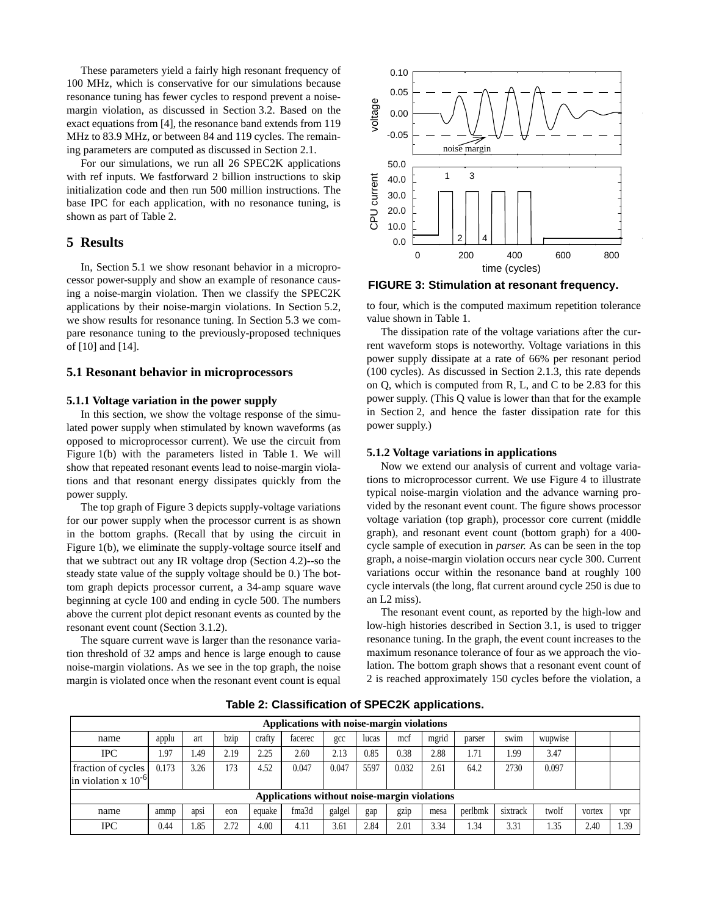These parameters yield a fairly high resonant frequency of 100 MHz, which is conservative for our simulations because resonance tuning has fewer cycles to respond prevent a noisemargin violation, as discussed in [Section 3.2.](#page-5-0) Based on the exact equations from [4], the resonance band extends from 119 MHz to 83.9 MHz, or between 84 and 119 cycles. The remaining parameters are computed as discussed in [Section 2.1.](#page-1-1)

For our simulations, we run all 26 SPEC2K applications with ref inputs. We fastforward 2 billion instructions to skip initialization code and then run 500 million instructions. The base IPC for each application, with no resonance tuning, is shown as part of [Table 2](#page-7-1).

# <span id="page-7-0"></span>**5 Results**

In, [Section 5.1](#page-7-2) we show resonant behavior in a microprocessor power-supply and show an example of resonance causing a noise-margin violation. Then we classify the SPEC2K applications by their noise-margin violations. In [Section 5.2](#page-8-0), we show results for resonance tuning. In [Section 5.3](#page-9-0) we compare resonance tuning to the previously-proposed techniques of [10] and [14].

## <span id="page-7-2"></span>**5.1 Resonant behavior in microprocessors**

# **5.1.1 Voltage variation in the power supply**

In this section, we show the voltage response of the simulated power supply when stimulated by known waveforms (as opposed to microprocessor current). We use the circuit from [Figure 1\(](#page-2-0)b) with the parameters listed in [Table 1.](#page-6-2) We will show that repeated resonant events lead to noise-margin violations and that resonant energy dissipates quickly from the power supply.

The top graph of [Figure 3](#page-7-3) depicts supply-voltage variations for our power supply when the processor current is as shown in the bottom graphs. (Recall that by using the circuit in [Figure 1\(](#page-2-0)b), we eliminate the supply-voltage source itself and that we subtract out any IR voltage drop ([Section 4.2](#page-6-3))--so the steady state value of the supply voltage should be 0.) The bottom graph depicts processor current, a 34-amp square wave beginning at cycle 100 and ending in cycle 500. The numbers above the current plot depict resonant events as counted by the resonant event count [\(Section 3.1.2](#page-4-2)).

The square current wave is larger than the resonance variation threshold of 32 amps and hence is large enough to cause noise-margin violations. As we see in the top graph, the noise margin is violated once when the resonant event count is equal



<span id="page-7-3"></span>**FIGURE 3: Stimulation at resonant frequency.**

to four, which is the computed maximum repetition tolerance value shown in [Table 1.](#page-6-2)

The dissipation rate of the voltage variations after the current waveform stops is noteworthy. Voltage variations in this power supply dissipate at a rate of 66% per resonant period (100 cycles). As discussed in [Section 2.1.3,](#page-2-2) this rate depends on Q, which is computed from R, L, and C to be 2.83 for this power supply. (This Q value is lower than that for the example in [Section 2](#page-1-0), and hence the faster dissipation rate for this power supply.)

#### **5.1.2 Voltage variations in applications**

Now we extend our analysis of current and voltage variations to microprocessor current. We use [Figure 4](#page-8-1) to illustrate typical noise-margin violation and the advance warning provided by the resonant event count. The figure shows processor voltage variation (top graph), processor core current (middle graph), and resonant event count (bottom graph) for a 400 cycle sample of execution in *parser.* As can be seen in the top graph, a noise-margin violation occurs near cycle 300. Current variations occur within the resonance band at roughly 100 cycle intervals (the long, flat current around cycle 250 is due to an L2 miss).

The resonant event count, as reported by the high-low and low-high histories described in [Section 3.1,](#page-4-3) is used to trigger resonance tuning. In the graph, the event count increases to the maximum resonance tolerance of four as we approach the violation. The bottom graph shows that a resonant event count of 2 is reached approximately 150 cycles before the violation, a

<span id="page-7-1"></span>

| Applications with noise-margin violations                |       |      |                   |        |         |        |       |       |       |         |          |         |        |      |
|----------------------------------------------------------|-------|------|-------------------|--------|---------|--------|-------|-------|-------|---------|----------|---------|--------|------|
| name                                                     | applu | art  | bz <sub>1</sub> p | crafty | facerec | gcc    | lucas | mct   | mgrid | parser  | swim     | wupwise |        |      |
| <b>IPC</b>                                               | 1.97  | 1.49 | 2.19              | 2.25   | 2.60    | 2.13   | 0.85  | 0.38  | 2.88  | 1.71    | .99      | 3.47    |        |      |
| fraction of cycles<br>$\ln$ violation x 10 <sup>-6</sup> | 0.173 | 3.26 | 173               | 4.52   | 0.047   | 0.047  | 5597  | 0.032 | 2.61  | 64.2    | 2730     | 0.097   |        |      |
| Applications without noise-margin violations             |       |      |                   |        |         |        |       |       |       |         |          |         |        |      |
| name                                                     | ammp  | apsi | eon               | equake | fma3d   | galgel | gap   | gzip  | mesa  | perlbmk | sixtrack | twolf   | vortex | vpr  |
| IPC                                                      | 0.44  | 1.85 | 2.72              | 4.00   | 4.11    | 3.61   | 2.84  | 2.01  | 3.34  | 1.34    | 3.31     | 1.35    | 2.40   | . 39 |

**Table 2: Classification of SPEC2K applications.**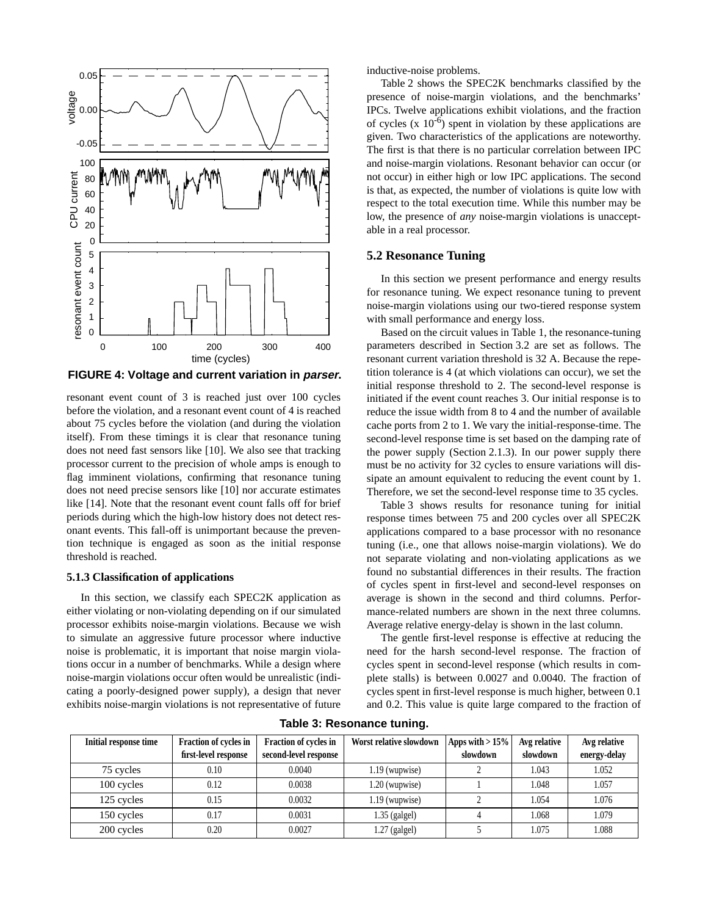

<span id="page-8-1"></span>**FIGURE 4: Voltage and current variation in parser.**

resonant event count of 3 is reached just over 100 cycles before the violation, and a resonant event count of 4 is reached about 75 cycles before the violation (and during the violation itself). From these timings it is clear that resonance tuning does not need fast sensors like [10]. We also see that tracking processor current to the precision of whole amps is enough to flag imminent violations, confirming that resonance tuning does not need precise sensors like [10] nor accurate estimates like [14]. Note that the resonant event count falls off for brief periods during which the high-low history does not detect resonant events. This fall-off is unimportant because the prevention technique is engaged as soon as the initial response threshold is reached.

## **5.1.3 Classification of applications**

In this section, we classify each SPEC2K application as either violating or non-violating depending on if our simulated processor exhibits noise-margin violations. Because we wish to simulate an aggressive future processor where inductive noise is problematic, it is important that noise margin violations occur in a number of benchmarks. While a design where noise-margin violations occur often would be unrealistic (indicating a poorly-designed power supply), a design that never exhibits noise-margin violations is not representative of future

inductive-noise problems.

[Table 2](#page-7-1) shows the SPEC2K benchmarks classified by the presence of noise-margin violations, and the benchmarks' IPCs. Twelve applications exhibit violations, and the fraction of cycles  $(x 10^{-6})$  spent in violation by these applications are given. Two characteristics of the applications are noteworthy. The first is that there is no particular correlation between IPC and noise-margin violations. Resonant behavior can occur (or not occur) in either high or low IPC applications. The second is that, as expected, the number of violations is quite low with respect to the total execution time. While this number may be low, the presence of *any* noise-margin violations is unacceptable in a real processor.

#### <span id="page-8-0"></span>**5.2 Resonance Tuning**

In this section we present performance and energy results for resonance tuning. We expect resonance tuning to prevent noise-margin violations using our two-tiered response system with small performance and energy loss.

Based on the circuit values in [Table 1,](#page-6-2) the resonance-tuning parameters described in [Section 3.2](#page-5-0) are set as follows. The resonant current variation threshold is 32 A. Because the repetition tolerance is 4 (at which violations can occur), we set the initial response threshold to 2. The second-level response is initiated if the event count reaches 3. Our initial response is to reduce the issue width from 8 to 4 and the number of available cache ports from 2 to 1. We vary the initial-response-time. The second-level response time is set based on the damping rate of the power supply [\(Section 2.1.3\)](#page-2-2). In our power supply there must be no activity for 32 cycles to ensure variations will dissipate an amount equivalent to reducing the event count by 1. Therefore, we set the second-level response time to 35 cycles.

[Table 3](#page-8-2) shows results for resonance tuning for initial response times between 75 and 200 cycles over all SPEC2K applications compared to a base processor with no resonance tuning (i.e., one that allows noise-margin violations). We do not separate violating and non-violating applications as we found no substantial differences in their results. The fraction of cycles spent in first-level and second-level responses on average is shown in the second and third columns. Performance-related numbers are shown in the next three columns. Average relative energy-delay is shown in the last column.

The gentle first-level response is effective at reducing the need for the harsh second-level response. The fraction of cycles spent in second-level response (which results in complete stalls) is between 0.0027 and 0.0040. The fraction of cycles spent in first-level response is much higher, between 0.1 and 0.2. This value is quite large compared to the fraction of

<span id="page-8-2"></span>

| Initial response time | Fraction of cycles in<br>first-level response | <b>Fraction of cycles in</b><br>second-level response | Worst relative slowdown | Apps with $> 15\%$<br>slowdown | Avg relative<br>slowdown | Avg relative<br>energy-delay |
|-----------------------|-----------------------------------------------|-------------------------------------------------------|-------------------------|--------------------------------|--------------------------|------------------------------|
| 75 cycles             | 0.10                                          | 0.0040                                                | $1.19$ (wupwise)        |                                | 1.043                    | 1.052                        |
| 100 cycles            | 0.12                                          | 0.0038                                                | 1.20 (wupwise)          |                                | 1.048                    | 1.057                        |
| 125 cycles            | 0.15                                          | 0.0032                                                | 1.19 (wupwise)          |                                | 1.054                    | 1.076                        |
| 150 cycles            | 0.17                                          | 0.0031                                                | $1.35$ (galgel)         |                                | 1.068                    | 1.079                        |
| 200 cycles            | 0.20                                          | 0.0027                                                | $1.27$ (galgel)         |                                | 1.075                    | 1.088                        |

**Table 3: Resonance tuning.**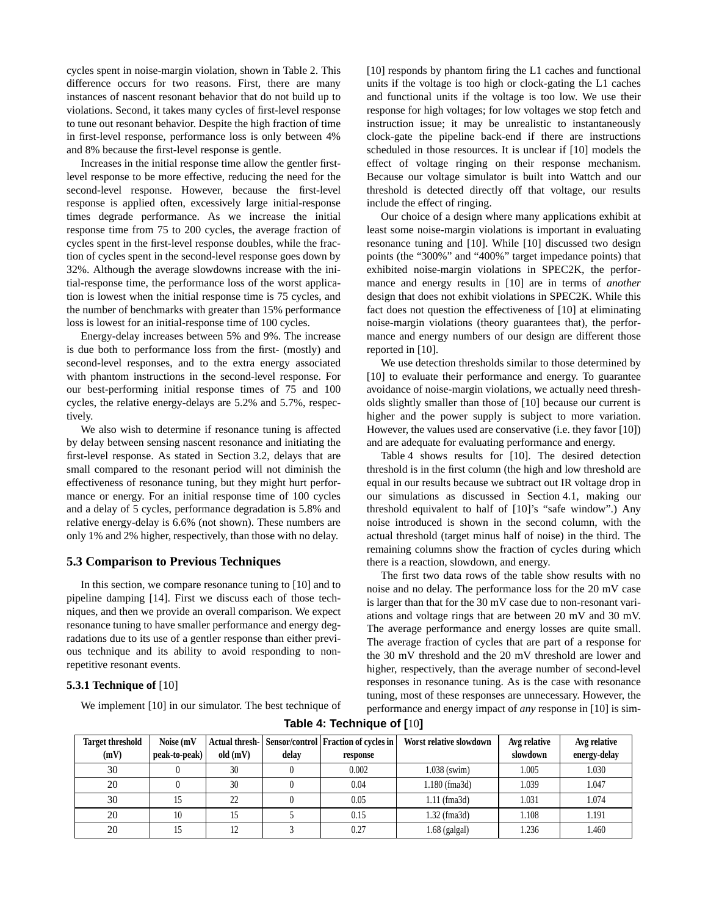cycles spent in noise-margin violation, shown in [Table 2.](#page-7-1) This difference occurs for two reasons. First, there are many instances of nascent resonant behavior that do not build up to violations. Second, it takes many cycles of first-level response to tune out resonant behavior. Despite the high fraction of time in first-level response, performance loss is only between 4% and 8% because the first-level response is gentle.

Increases in the initial response time allow the gentler firstlevel response to be more effective, reducing the need for the second-level response. However, because the first-level response is applied often, excessively large initial-response times degrade performance. As we increase the initial response time from 75 to 200 cycles, the average fraction of cycles spent in the first-level response doubles, while the fraction of cycles spent in the second-level response goes down by 32%. Although the average slowdowns increase with the initial-response time, the performance loss of the worst application is lowest when the initial response time is 75 cycles, and the number of benchmarks with greater than 15% performance loss is lowest for an initial-response time of 100 cycles.

Energy-delay increases between 5% and 9%. The increase is due both to performance loss from the first- (mostly) and second-level responses, and to the extra energy associated with phantom instructions in the second-level response. For our best-performing initial response times of 75 and 100 cycles, the relative energy-delays are 5.2% and 5.7%, respectively.

We also wish to determine if resonance tuning is affected by delay between sensing nascent resonance and initiating the first-level response. As stated in [Section 3.2,](#page-5-0) delays that are small compared to the resonant period will not diminish the effectiveness of resonance tuning, but they might hurt performance or energy. For an initial response time of 100 cycles and a delay of 5 cycles, performance degradation is 5.8% and relative energy-delay is 6.6% (not shown). These numbers are only 1% and 2% higher, respectively, than those with no delay.

### <span id="page-9-0"></span>**5.3 Comparison to Previous Techniques**

In this section, we compare resonance tuning to [10] and to pipeline damping [14]. First we discuss each of those techniques, and then we provide an overall comparison. We expect resonance tuning to have smaller performance and energy degradations due to its use of a gentler response than either previous technique and its ability to avoid responding to nonrepetitive resonant events.

#### **5.3.1 Technique of** [10]

We implement [10] in our simulator. The best technique of

[10] responds by phantom firing the L1 caches and functional units if the voltage is too high or clock-gating the L1 caches and functional units if the voltage is too low. We use their response for high voltages; for low voltages we stop fetch and instruction issue; it may be unrealistic to instantaneously clock-gate the pipeline back-end if there are instructions scheduled in those resources. It is unclear if [10] models the effect of voltage ringing on their response mechanism. Because our voltage simulator is built into Wattch and our threshold is detected directly off that voltage, our results include the effect of ringing.

Our choice of a design where many applications exhibit at least some noise-margin violations is important in evaluating resonance tuning and [10]. While [10] discussed two design points (the "300%" and "400%" target impedance points) that exhibited noise-margin violations in SPEC2K, the performance and energy results in [10] are in terms of *another* design that does not exhibit violations in SPEC2K. While this fact does not question the effectiveness of [10] at eliminating noise-margin violations (theory guarantees that), the performance and energy numbers of our design are different those reported in [10].

We use detection thresholds similar to those determined by [10] to evaluate their performance and energy. To guarantee avoidance of noise-margin violations, we actually need thresholds slightly smaller than those of [10] because our current is higher and the power supply is subject to more variation. However, the values used are conservative (i.e. they favor [10]) and are adequate for evaluating performance and energy.

[Table 4](#page-9-1) shows results for [10]. The desired detection threshold is in the first column (the high and low threshold are equal in our results because we subtract out IR voltage drop in our simulations as discussed in [Section 4.1,](#page-6-4) making our threshold equivalent to half of [10]'s "safe window".) Any noise introduced is shown in the second column, with the actual threshold (target minus half of noise) in the third. The remaining columns show the fraction of cycles during which there is a reaction, slowdown, and energy.

The first two data rows of the table show results with no noise and no delay. The performance loss for the 20 mV case is larger than that for the 30 mV case due to non-resonant variations and voltage rings that are between 20 mV and 30 mV. The average performance and energy losses are quite small. The average fraction of cycles that are part of a response for the 30 mV threshold and the 20 mV threshold are lower and higher, respectively, than the average number of second-level responses in resonance tuning. As is the case with resonance tuning, most of these responses are unnecessary. However, the performance and energy impact of *any* response in [10] is sim-

**Table 4: Technique of [**10**]**

<span id="page-9-1"></span>

| <b>Target threshold</b> | Noise (mV     |            |       | Actual thresh-   Sensor/control   Fraction of cycles in | Worst relative slowdown | Avg relative | Avg relative |
|-------------------------|---------------|------------|-------|---------------------------------------------------------|-------------------------|--------------|--------------|
| (mV)                    | peak-to-peak) | old $(mV)$ | delay | response                                                |                         | slowdown     | energy-delay |
| 30                      |               | 30         |       | 0.002                                                   | $1.038$ (swim)          | 1.005        | 1.030        |
| 20                      |               | 30         |       | 0.04                                                    | 1.180 (fma3d)           | 1.039        | 1.047        |
| 30                      |               | 22         |       | 0.05                                                    | $1.11$ (fma3d)          | 1.031        | 1.074        |
| 20                      | 10            |            |       | 0.15                                                    | $1.32$ (fma $3d$ )      | 1.108        | 1.191        |
| 20                      |               |            |       | 0.27                                                    | 1.68 (galgal)           | 1.236        | 1.460        |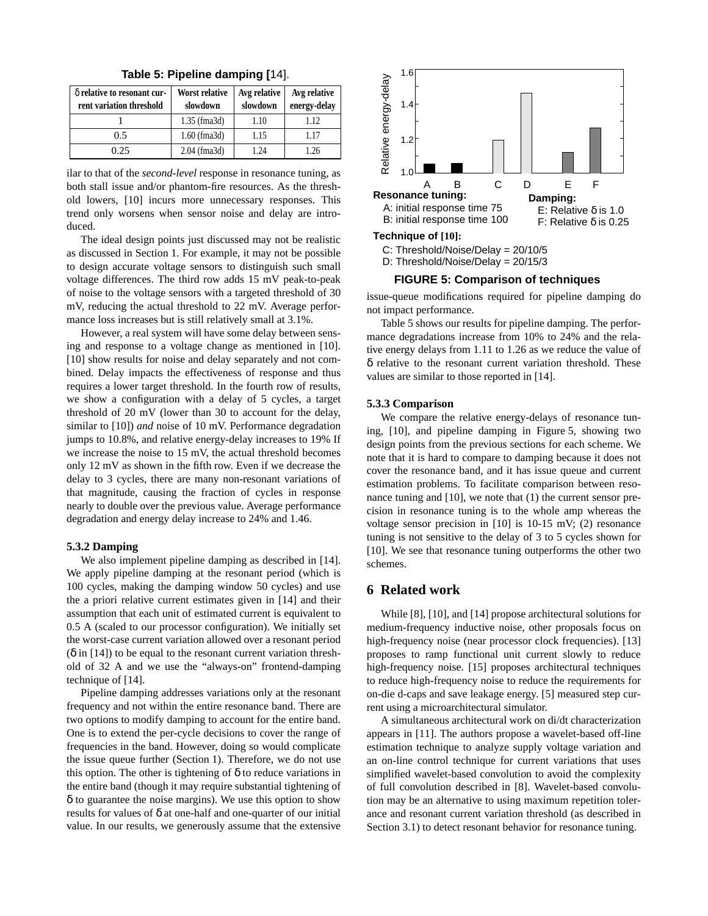<span id="page-10-1"></span>

| $\delta$ relative to resonant cur-<br>rent variation threshold | Worst relative<br>slowdown | Avg relative<br>slowdown | Avg relative<br>energy-delay |
|----------------------------------------------------------------|----------------------------|--------------------------|------------------------------|
|                                                                | $1.35$ (fma $3d$ )         | 1.10                     | 1.12                         |
| 0.5                                                            | $1.60$ (fma3d)             | 1.15                     | 1.17                         |
| 0.25                                                           | $2.04$ (fma3d)             | 1.24                     | 1.26                         |

**Table 5: Pipeline damping [**14].

ilar to that of the *second-level* response in resonance tuning, as both stall issue and/or phantom-fire resources. As the threshold lowers, [10] incurs more unnecessary responses. This trend only worsens when sensor noise and delay are introduced.

The ideal design points just discussed may not be realistic as discussed in [Section 1.](#page-0-0) For example, it may not be possible to design accurate voltage sensors to distinguish such small voltage differences. The third row adds 15 mV peak-to-peak of noise to the voltage sensors with a targeted threshold of 30 mV, reducing the actual threshold to 22 mV. Average performance loss increases but is still relatively small at 3.1%.

However, a real system will have some delay between sensing and response to a voltage change as mentioned in [10]. [10] show results for noise and delay separately and not combined. Delay impacts the effectiveness of response and thus requires a lower target threshold. In the fourth row of results, we show a configuration with a delay of 5 cycles, a target threshold of 20 mV (lower than 30 to account for the delay, similar to [10]) *and* noise of 10 mV. Performance degradation jumps to 10.8%, and relative energy-delay increases to 19% If we increase the noise to 15 mV, the actual threshold becomes only 12 mV as shown in the fifth row. Even if we decrease the delay to 3 cycles, there are many non-resonant variations of that magnitude, causing the fraction of cycles in response nearly to double over the previous value. Average performance degradation and energy delay increase to 24% and 1.46.

#### **5.3.2 Damping**

We also implement pipeline damping as described in [14]. We apply pipeline damping at the resonant period (which is 100 cycles, making the damping window 50 cycles) and use the a priori relative current estimates given in [14] and their assumption that each unit of estimated current is equivalent to 0.5 A (scaled to our processor configuration). We initially set the worst-case current variation allowed over a resonant period  $(\delta$  in [14]) to be equal to the resonant current variation threshold of 32 A and we use the "always-on" frontend-damping technique of [14].

Pipeline damping addresses variations only at the resonant frequency and not within the entire resonance band. There are two options to modify damping to account for the entire band. One is to extend the per-cycle decisions to cover the range of frequencies in the band. However, doing so would complicate the issue queue further ([Section 1](#page-0-0)). Therefore, we do not use this option. The other is tightening of  $\delta$  to reduce variations in the entire band (though it may require substantial tightening of δ to guarantee the noise margins). We use this option to show results for values of δ at one-half and one-quarter of our initial value. In our results, we generously assume that the extensive



C: Threshold/Noise/Delay = 20/10/5

<span id="page-10-2"></span>D: Threshold/Noise/Delay = 20/15/3

#### **FIGURE 5: Comparison of techniques**

issue-queue modifications required for pipeline damping do not impact performance.

[Table 5](#page-10-1) shows our results for pipeline damping. The performance degradations increase from 10% to 24% and the relative energy delays from 1.11 to 1.26 as we reduce the value of δ relative to the resonant current variation threshold. These values are similar to those reported in [14].

### **5.3.3 Comparison**

We compare the relative energy-delays of resonance tuning, [10], and pipeline damping in [Figure 5](#page-10-2), showing two design points from the previous sections for each scheme. We note that it is hard to compare to damping because it does not cover the resonance band, and it has issue queue and current estimation problems. To facilitate comparison between resonance tuning and [10], we note that (1) the current sensor precision in resonance tuning is to the whole amp whereas the voltage sensor precision in [10] is 10-15 mV; (2) resonance tuning is not sensitive to the delay of 3 to 5 cycles shown for [10]. We see that resonance tuning outperforms the other two schemes.

# <span id="page-10-0"></span>**6 Related work**

While [8], [10], and [14] propose architectural solutions for medium-frequency inductive noise, other proposals focus on high-frequency noise (near processor clock frequencies). [13] proposes to ramp functional unit current slowly to reduce high-frequency noise. [15] proposes architectural techniques to reduce high-frequency noise to reduce the requirements for on-die d-caps and save leakage energy. [5] measured step current using a microarchitectural simulator.

A simultaneous architectural work on di/dt characterization appears in [11]. The authors propose a wavelet-based off-line estimation technique to analyze supply voltage variation and an on-line control technique for current variations that uses simplified wavelet-based convolution to avoid the complexity of full convolution described in [8]. Wavelet-based convolution may be an alternative to using maximum repetition tolerance and resonant current variation threshold (as described in [Section 3.1](#page-4-3)) to detect resonant behavior for resonance tuning.